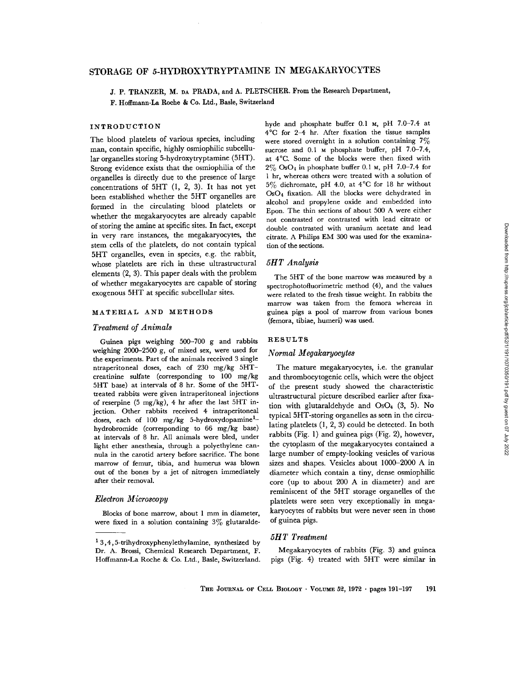# STORAGE OF 5-HYDROXYTRYPTAMINE IN MEGAKARYOCYTES

J. P. TRANZER, M. DA PRADA, and A. PLETSCHER. From the Research Department, F. Hoffmann-La Roche & Co. Ltd., Basle, Switzerland

# INTRODUCTION

The blood platelets of various species, including man, contain specific, highly osmiophilic subcellular organelles storing 5-hydroxytryptamine (5HT) . Strong evidence exists that the osmiophilia of the organelles is directly due to the presence of large concentrations of  $5HT$   $(1, 2, 3)$ . It has not yet been established whether the 5HT organelles are formed in the circulating blood platelets or whether the megakaryocytes are already capable of storing the amine at specific sites . In fact, except in very rare instances, the megakaryocytes, the stem cells of the platelets, do not contain typical 5HT organelles, even in species, e.g. the rabbit, whose platelets are rich in these ultrastructural elements (2, 3) . This paper deals with the problem of whether megakaryocytes are capable of storing exogenous 5HT at specific subcellular sites .

#### MATERIAL AND METHODS

#### Treatment of Animals

Guinea pigs weighing 500-700 g and rabbits weighing 2000-2500 g, of mixed sex, were used for the experiments. Part of the animals received 3 single ntraperitoneal doses, each of 230 mg/kg 5HTcreatinine sulfate (corresponding to 100 mg/kg 5HT base) at intervals of 8 hr. Some of the 5HTtreated rabbits were given intraperitoneal injections of reserpine  $(5 \text{ mg/kg})$ , 4 hr after the last 5HT injection . Other rabbits received 4 intraperitoneal doses, each of 100 mg/kg 5-hydroxydopamine<sup>1</sup>hydrobromide (corresponding to 66 mg/kg base) at intervals of 8 hr. All animals were bled, under light ether anesthesia, through a polyethylene cannula in the carotid artery before sacrifice. The bone marrow of femur, tibia, and humerus was blown out of the bones by a jet of nitrogen immediately after their removal.

# Electron Microscopy

Blocks of bone marrow, about 1 mm in diameter, were fixed in a solution containing  $3\%$  glutaralde-

hyde and phosphate buffer 0.1 M, pH 7.0-7.4 at 4 ° C for 2-4 hr . After fixation the tissue samples were stored overnight in a solution containing 7% sucrose and 0.1 M phosphate buffer, pH 7.0-7.4, at 4°C. Some of the blocks were then fixed with  $2\%$  OsO<sub>4</sub> in phosphate buffer 0.1 M, pH 7.0-7.4 for 1 hr, whereas others were treated with a solution of  $5\%$  dichromate, pH 4.0, at  $4^{\circ}$ C for 18 hr without O5O4 fixation. All the blocks were dehydrated in alcohol and propylene oxide and embedded into Epon. The thin sections of about 500 A were either not contrasted or contrasted with lead citrate or double contrasted with uranium acetate and lead citrate. A Philips EM 300 was used for the examination of the sections.

### 5HT Analysis

The 5HT of the bone marrow was measured by a spectrophotofluorimetric method (4), and the values were related to the fresh tissue weight. In rabbits the marrow was taken from the femora whereas in guinea pigs a pool of marrow from various bones (femora, tibiae, humeri) was used .

# RESULTS

### Normal Megakaryocytes

The mature megakaryocytes, i.e. the granular and thrombocytogenic cells, which were the object of the present study showed the characteristic ultrastructural picture described earlier after fixation with glutaraldehyde and  $OsO<sub>4</sub>$  (3, 5). No typical 5HT-storing organelles as seen in the circulating platelets (1, 2, 3) could be detected. In both rabbits (Fig. 1) and guinea pigs (Fig. 2), however, the cytoplasm of the megakaryocytes contained a large number of empty-looking vesicles of various sizes and shapes. Vesicles about 1000-2000 A in diameter which contain a tiny, dense osmiophilic core (up to about 200 A in diameter) and are reminiscent of the 5HT storage organelles of the platelets were seen very exceptionally in megakaryocytes of rabbits but were never seen in those of guinea pigs .

# 5HT Treatment

Megakaryocytes of rabbits (Fig. 3) and guinea

 $13,4,5$ -trihydroxyphenylethylamine, synthesized by Dr. A. Brossi, Chemical Research Department, F. Hoffmann-La Roche & Co. Ltd., Basle, Switzerland. pigs (Fig. 4) treated with 5HT were similar in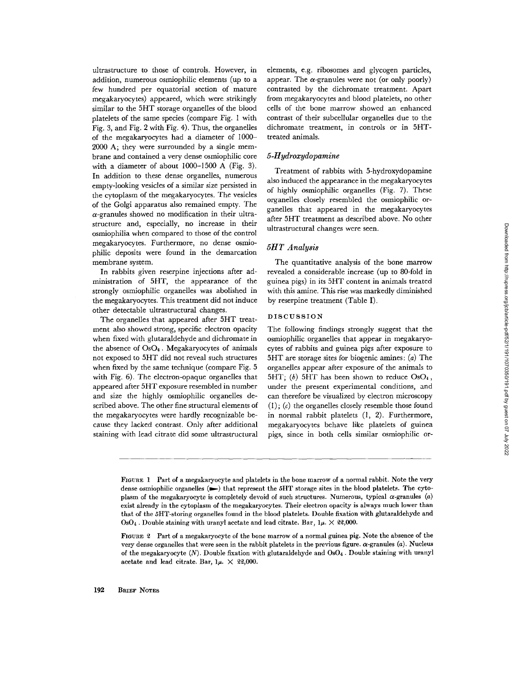ultrastructure to those of controls . However, in addition, numerous osmiophilic elements (up to a few hundred per equatorial section of mature megakaryocytes) appeared, which were strikingly similar to the 5HT storage organelles of the blood platelets of the same species (compare Fig. 1 with Fig. 3, and Fig. 2 with Fig. 4). Thus, the organelles of the megakaryocytes had a diameter of 1000- 2000 A; they were surrounded by a single membrane and contained a very dense osmiophilic core with a diameter of about  $1000-1500$  A (Fig. 3). In addition to these dense organelles, numerous empty-looking vesicles of a similar size persisted in the cytoplasm of the megakaryocytes. The vesicles of the Golgi apparatus also remained empty. The  $\alpha$ -granules showed no modification in their ultrastructure and, especially, no increase in their osmiophilia when compared to those of the control megakaryocytes. Furthermore, no dense osmiophilic deposits were found in the demarcation membrane system.

In rabbits given reserpine injections after administration of 5HT, the appearance of the strongly osmiophilic organelles was abolished in the megakaryocytes . This treatment did not induce other detectable ultrastructural changes .

The organelles that appeared after 5HT treatment also showed strong, specific electron opacity when fixed with glutaraldehyde and dichromate in the absence of  $OsO<sub>4</sub>$ . Megakaryocytes of animals not exposed to 5HT did not reveal such structures when fixed by the same technique (compare Fig. 5 with Fig. 6). The electron-opaque organelles that appeared after 5HT exposure resembled in number and size the highly osmiophilic organelles described above. The other fine structural elements of the megakaryocytes were hardly recognizable because they lacked contrast. Only after additional staining with lead citrate did some ultrastructural

elements, e.g. ribosomes and glycogen particles, appear. The  $\alpha$ -granules were not (or only poorly) contrasted by the dichromate treatment. Apart from megakaryocytes and blood platelets, no other cells of the bone marrow showed an enhanced contrast of their subcellular organelles due to the dichromate treatment, in controls or in 5HTtreated animals.

#### 5-Hydroxydopamine

Treatment of rabbits with 5-hydroxydopamine also induced the appearance in the megakaryocytes of highly osmiophilic organelles (Fig. 7). These organelles closely resembled the osmiophilic organelles that appeared in the megakaryocytes after 5HT treatment as described above . No other ultrastructural changes were seen .

# 5HT Analysis

The quantitative analysis of the bone marrow revealed a considerable increase (up to 80-fold in guinea pigs) in its 5HT content in animals treated with this amine. This rise was markedly diminished by reserpine treatment (Table I).

#### DISCUSSION

The following findings strongly suggest that the osmiophilic organelles that appear in megakaryocytes of rabbits and guinea pigs after exposure to 5HT are storage sites for biogenic amines : (a) The organelles appear after exposure of the animals to  $5HT$ ; (b)  $5HT$  has been shown to reduce  $OsO<sub>4</sub>$ , under the present experimental conditions, and can therefore be visualized by electron microscopy  $(1)$ ;  $(c)$  the organelles closely resemble those found in normal rabbit platelets  $(1, 2)$ . Furthermore, megakaryocytes behave like platelets of guinea pigs, since in both cells similar osmiophilic or-

FIGURE 1 Part of a megakaryocyte and platelets in the bone marrow of a normal rabbit . Note the very dense osmiophilic organelles  $(\rightarrow)$  that represent the 5HT storage sites in the blood platelets. The cytoplasm of the megakaryocyte is completely devoid of such structures. Numerous, typical  $\alpha$ -granules (a) exist already in the cytoplasm of the megakaryocytes . Their electron opacity is always much lower than that of the 5HT-storing organelles found in the blood platelets . Double fixation with glutaraldehyde and OsO<sub>4</sub>. Double staining with uranyl acetate and lead citrate. Bar,  $1\mu \times 22,000$ .

FIGURE 2 Part of a megakaryocyte of the bone marrow of a normal guinea pig. Note the absence of the very dense organelles that were seen in the rabbit platelets in the previous figure.  $\alpha$ -granules (a). Nucleus of the megakaryocyte  $(N)$ . Double fixation with glutaraldehyde and  $OsO<sub>4</sub>$ . Double staining with uranyl acetate and lead citrate. Bar,  $1\mu \times 22{,}000$ .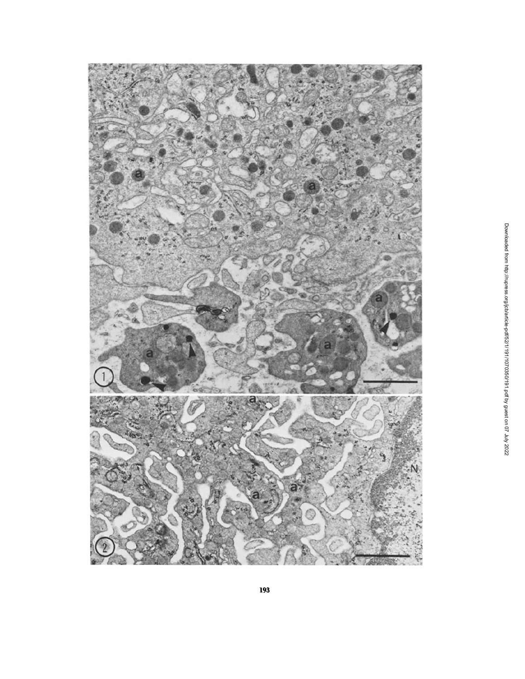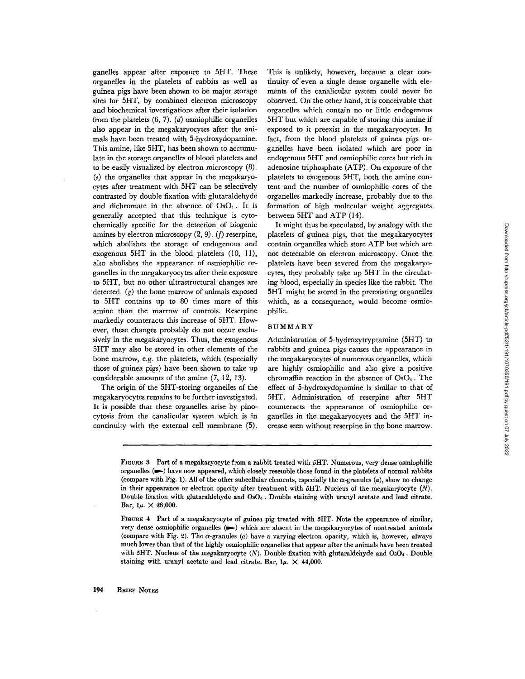ganelles appear after exposure to 5HT. These organelles in the platelets of rabbits as well as guinea pigs have been shown to be major storage sites for 5HT, by combined electron microscopy and biochemical investigations after their isolation from the platelets  $(6, 7)$ .  $(d)$  osmiophilic organelles also appear in the megakaryocytes after the animals have been treated with 5-hydroxydopamine. This amine, like 5HT, has been shown to accumulate in the storage organelles of blood platelets and to be easily visualized by electron microscopy (8) . (e) the organelles that appear in the megakaryocytes after treatment with 5HT can be selectively contrasted by double fixation with glutaraldehyde and dichromate in the absence of  $OsO<sub>4</sub>$ . It is generally accepted that this technique is cytochemically specific for the detection of biogenic amines by electron microscopy  $(2, 9)$ .  $(f)$  reserpine, which abolishes the storage of endogenous and exogenous 5HT in the blood platelets (10, 11), also abolishes the appearance of osmiophilic organelles in the megakaryocytes after their exposure to 5HT, but no other ultrastructural changes are detected.  $(g)$  the bone marrow of animals exposed to 5HT contains up to 80 times more of this amine than the marrow of controls . Reserpine markedly counteracts this increase of 5HT . However, these changes probably do not occur exclusively in the megakaryocytes. Thus, the exogenous 5HT may also be stored in other elements of the bone marrow, e.g. the platelets, which (especially those of guinea pigs) have been shown to take up considerable amounts of the amine  $(7, 12, 13)$ .

The origin of the 5HT-storing organelles of the megakaryocytes remains to be further investigated . It is possible that these organelles arise by pinocytosis from the canalicular system which is in continuity with the external cell membrane (5).

This is unlikely, however, because a clear continuity of even a single dense organelle with elements of the canalicular system could never be observed. On the other hand, it is conceivable that organelles which contain no or little endogenous 5HT but which are capable of storing this amine if exposed to it preexist in the megakaryocytes. In fact, from the blood platelets of guinea pigs organelles have been isolated which are poor in endogenous 5HT and osmiophilic cores but rich in adenosine triphosphate (ATP). On exposure of the platelets to exogenous 5HT, both the amine content and the number of osmiophilic cores of the organelles markedly increase, probably due to the formation of high molecular weight aggregates between 5HT and ATP (14).

It might thus be speculated, by analogy with the platelets of guinea pigs, that the megakaryocytes contain organelles which store ATP but which are not detectable on electron microscopy . Once the platelets have been severed from the megakaryocytes, they probably take up 5HT in the circulating blood, especially in species like the rabbit. The 5HT might be stored in the preexisting organelles which, as a consequence, would become osmiophilic.

#### SUMMARY

Administration of 5-hydroxytryptamine (5HT) to rabbits and guinea pigs causes the appearance in the megakaryocytes of numerous organelles, which are highly osmiophilic and also give a positive chromaffin reaction in the absence of  $OsO<sub>4</sub>$ . The effect of 5-hydroxydopamine is similar to that of 5HT. Administration of reserpine after 5HT counteracts the appearance of osmiophilic organelles in the megakaryocytes and the 5HT increase seen without reserpine in the bone marrow .

FIGURE 4 Part of a megakaryocyte of guinea pig treated with 5HT. Note the appearance of similar, very dense osmiophilic organelles  $(+)$  which are absent in the megakaryocytes of nontreated animals (compare with Fig . 2) . The a-granules (a) have a varying electron opacity, which is, however, always much lower than that of the highly osmiophilic organelles that appear after the animals have been treated with 5HT. Nucleus of the megakaryocyte  $(N)$ . Double fixation with glutaraldehyde and  $OsO<sub>4</sub>$ . Double staining with uranyl acetate and lead citrate. Bar,  $1\mu$ .  $\times$  44,000.

#### 194 BRIEF NOTES

FIGURE 3 Part of a megakaryocyte from a rabbit treated with 5HT . Numerous, very dense osmiophilic organelles (w-) have now appeared, which closely resemble those found in the platelets of normal rabbits (compare with Fig. 1). All of the other subcellular elements, especially the  $\alpha$ -granules  $(a)$ , show no change in their appearance or electron opacity after treatment with 5HT. Nucleus of the megakaryocyte (N). Double fixation with glutaraldehyde and  $OsO<sub>4</sub>$ . Double staining with uranyl acetate and lead citrate. Bar,  $1\mu$ .  $\times$  28,000.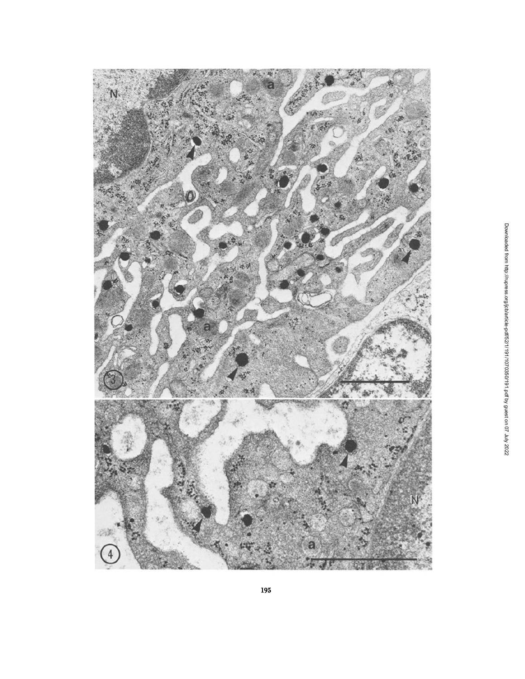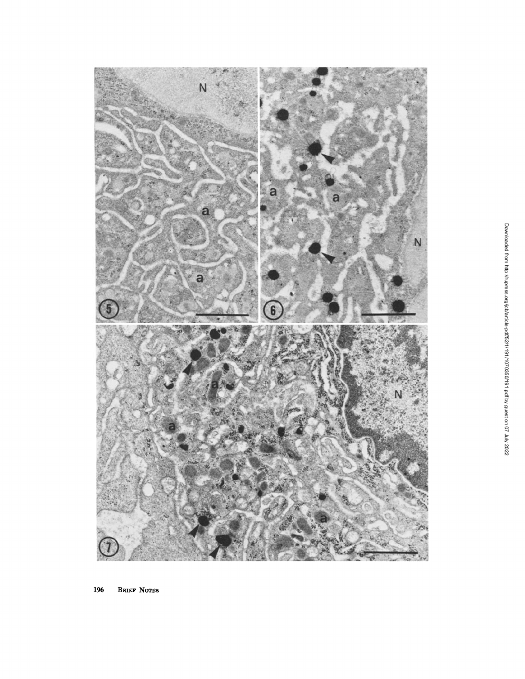